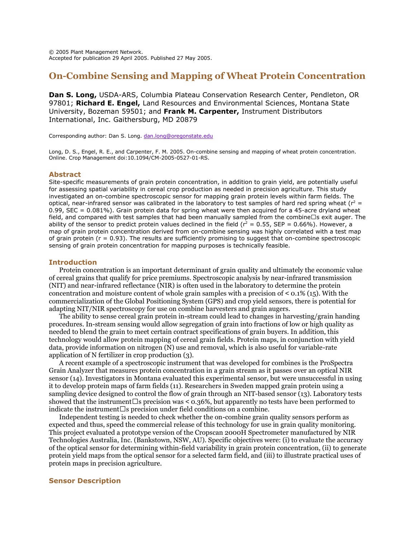# **On-Combine Sensing and Mapping of Wheat Protein Concentration**

**Dan S. Long,** USDA-ARS, Columbia Plateau Conservation Research Center, Pendleton, OR 97801; **Richard E. Engel,** Land Resources and Environmental Sciences, Montana State University, Bozeman 59501; and **Frank M. Carpenter,** Instrument Distributors International, Inc. Gaithersburg, MD 20879

Corresponding author: Dan S. Long[. dan.long@oregonstate.edu](mailto:dan.long@oregonstate.edu)

Long, D. S., Engel, R. E., and Carpenter, F. M. 2005. On-combine sensing and mapping of wheat protein concentration. Online. Crop Management doi:10.1094/CM-2005-0527-01-RS.

### **Abstract**

Site-specific measurements of grain protein concentration, in addition to grain yield, are potentially useful for assessing spatial variability in cereal crop production as needed in precision agriculture. This study investigated an on-combine spectroscopic sensor for mapping grain protein levels within farm fields. The optical, near-infrared sensor was calibrated in the laboratory to test samples of hard red spring wheat ( $r^2$  = 0.99, SEC =  $0.081\%$ ). Grain protein data for spring wheat were then acquired for a 45-acre dryland wheat field, and compared with test samples that had been manually sampled from the combine' s exit auger. The ability of the sensor to predict protein values declined in the field ( $r^2 = 0.55$ , SEP = 0.66%). However, a map of grain protein concentration derived from on-combine sensing was highly correlated with a test map of grain protein ( $r = 0.93$ ). The results are sufficiently promising to suggest that on-combine spectroscopic sensing of grain protein concentration for mapping purposes is technically feasible.

## **Introduction**

Protein concentration is an important determinant of grain quality and ultimately the economic value of cereal grains that qualify for price premiums. Spectroscopic analysis by near-infrared transmission (NIT) and near-infrared reflectance (NIR) is often used in the laboratory to determine the protein concentration and moisture content of whole grain samples with a precision of  $\lt 0.1\%$  (15). With the commercialization of the Global Positioning System (GPS) and crop yield sensors, there is potential for adapting NIT/NIR spectroscopy for use on combine harvesters and grain augers.

The ability to sense cereal grain protein in-stream could lead to changes in harvesting/grain handing procedures. In-stream sensing would allow segregation of grain into fractions of low or high quality as needed to blend the grain to meet certain contract specifications of grain buyers. In addition, this technology would allow protein mapping of cereal grain fields. Protein maps, in conjunction with yield data, provide information on nitrogen (N) use and removal, which is also useful for variable-rate application of N fertilizer in crop production (3).

A recent example of a spectroscopic instrument that was developed for combines is the ProSpectra Grain Analyzer that measures protein concentration in a grain stream as it passes over an optical NIR sensor (14). Investigators in Montana evaluated this experimental sensor, but were unsuccessful in using it to develop protein maps of farm fields (11). Researchers in Sweden mapped grain protein using a sampling device designed to control the flow of grain through an NIT-based sensor (13). Laboratory tests showed that the instrument' s precision was < 0.36%, but apparently no tests have been performed to indicate the instrument' s precision under field conditions on a combine.

Independent testing is needed to check whether the on-combine grain quality sensors perform as expected and thus, speed the commercial release of this technology for use in grain quality monitoring. This project evaluated a prototype version of the Cropscan 2000H Spectrometer manufactured by NIR Technologies Australia, Inc. (Bankstown, NSW, AU). Specific objectives were: (i) to evaluate the accuracy of the optical sensor for determining within-field variability in grain protein concentration, (ii) to generate protein yield maps from the optical sensor for a selected farm field, and (iii) to illustrate practical uses of protein maps in precision agriculture.

## **Sensor Description**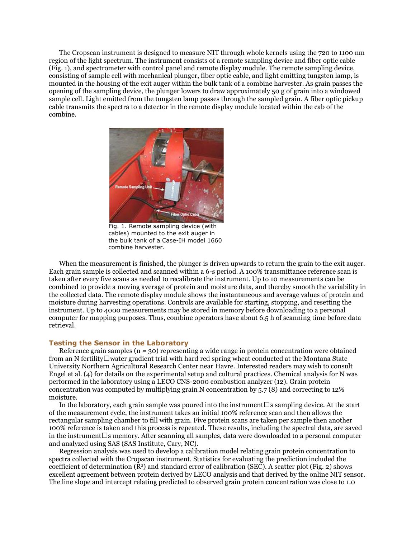The Cropscan instrument is designed to measure NIT through whole kernels using the 720 to 1100 nm region of the light spectrum. The instrument consists of a remote sampling device and fiber optic cable (Fig. 1), and spectrometer with control panel and remote display module. The remote sampling device, consisting of sample cell with mechanical plunger, fiber optic cable, and light emitting tungsten lamp, is mounted in the housing of the exit auger within the bulk tank of a combine harvester. As grain passes the opening of the sampling device, the plunger lowers to draw approximately 50 g of grain into a windowed sample cell. Light emitted from the tungsten lamp passes through the sampled grain. A fiber optic pickup cable transmits the spectra to a detector in the remote display module located within the cab of the combine.



Fig. 1. Remote sampling device (with cables) mounted to the exit auger in the bulk tank of a Case-IH model 1660 combine harvester.

When the measurement is finished, the plunger is driven upwards to return the grain to the exit auger. Each grain sample is collected and scanned within a 6-s period. A 100% transmittance reference scan is taken after every five scans as needed to recalibrate the instrument. Up to 10 measurements can be combined to provide a moving average of protein and moisture data, and thereby smooth the variability in the collected data. The remote display module shows the instantaneous and average values of protein and moisture during harvesting operations. Controls are available for starting, stopping, and resetting the instrument. Up to 4000 measurements may be stored in memory before downloading to a personal computer for mapping purposes. Thus, combine operators have about 6.5 h of scanning time before data retrieval.

#### **Testing the Sensor in the Laboratory**

Reference grain samples ( $n = 30$ ) representing a wide range in protein concentration were obtained from an N fertility– water gradient trial with hard red spring wheat conducted at the Montana State University Northern Agricultural Research Center near Havre. Interested readers may wish to consult Engel et al. (4) for details on the experimental setup and cultural practices. Chemical analysis for N was performed in the laboratory using a LECO CNS-2000 combustion analyzer (12). Grain protein concentration was computed by multiplying grain N concentration by 5.7 (8) and correcting to 12% moisture.

In the laboratory, each grain sample was poured into the instrument' s sampling device. At the start of the measurement cycle, the instrument takes an initial 100% reference scan and then allows the rectangular sampling chamber to fill with grain. Five protein scans are taken per sample then another 100% reference is taken and this process is repeated. These results, including the spectral data, are saved in the instrument' s memory. After scanning all samples, data were downloaded to a personal computer and analyzed using SAS (SAS Institute, Cary, NC).

Regression analysis was used to develop a calibration model relating grain protein concentration to spectra collected with the Cropscan instrument. Statistics for evaluating the prediction included the coefficient of determination (R<sup>2</sup> ) and standard error of calibration (SEC). A scatter plot (Fig. 2) shows excellent agreement between protein derived by LECO analysis and that derived by the online NIT sensor. The line slope and intercept relating predicted to observed grain protein concentration was close to 1.0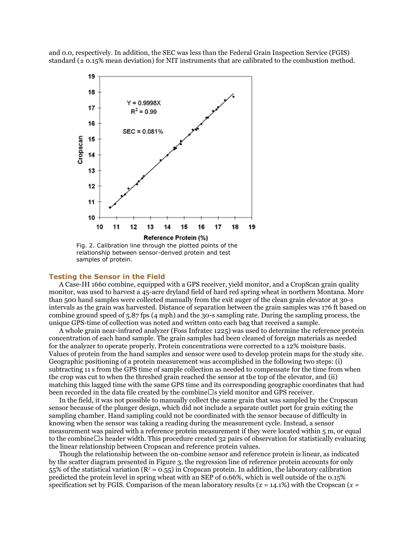and 0.0, respectively. In addition, the SEC was less than the Federal Grain Inspection Service (FGIS) standard  $(\pm 0.15\%$  mean deviation) for NIT instruments that are calibrated to the combustion method.



relationship between sensor-derived protein and test samples of protein.

#### **Testing the Sensor in the Field**

A Case-IH 1660 combine, equipped with a GPS receiver, yield monitor, and a CropScan grain quality monitor, was used to harvest a 45-acre dryland field of hard red spring wheat in northern Montana. More than 500 hand samples were collected manually from the exit auger of the clean grain elevator at 30-s intervals as the grain was harvested. Distance of separation between the grain samples was 176 ft based on combine ground speed of 5.87 fps (4 mph) and the 30-s sampling rate. During the sampling process, the unique GPS-time of collection was noted and written onto each bag that received a sample.

A whole grain near-infrared analyzer (Foss Infratec 1225) was used to determine the reference protein concentration of each hand sample. The grain samples had been cleaned of foreign materials as needed for the analyzer to operate properly. Protein concentrations were corrected to a 12% moisture basis. Values of protein from the hand samples and sensor were used to develop protein maps for the study site. Geographic positioning of a protein measurement was accomplished in the following two steps: (i) subtracting 11 s from the GPS time of sample collection as needed to compensate for the time from when the crop was cut to when the threshed grain reached the sensor at the top of the elevator, and (ii) matching this lagged time with the same GPS time and its corresponding geographic coordinates that had been recorded in the data file created by the combine' s yield monitor and GPS receiver.

In the field, it was not possible to manually collect the same grain that was sampled by the Cropscan sensor because of the plunger design, which did not include a separate outlet port for grain exiting the sampling chamber. Hand sampling could not be coordinated with the sensor because of difficulty in knowing when the sensor was taking a reading during the measurement cycle. Instead, a sensor measurement was paired with a reference protein measurement if they were located within 5 m, or equal to the combine' s header width. This procedure created 32 pairs of observation for statistically evaluating the linear relationship between Cropscan and reference protein values.

Though the relationship between the on-combine sensor and reference protein is linear, as indicated by the scatter diagram presented in Figure 3, the regression line of reference protein accounts for only 55% of the statistical variation  $(R^2 = 0.55)$  in Cropscan protein. In addition, the laboratory calibration predicted the protein level in spring wheat with an SEP of 0.66%, which is well outside of the 0.15% specification set by FGIS. Comparison of the mean laboratory results  $(x = 14.1\%)$  with the Cropscan  $(x = 14.1\%)$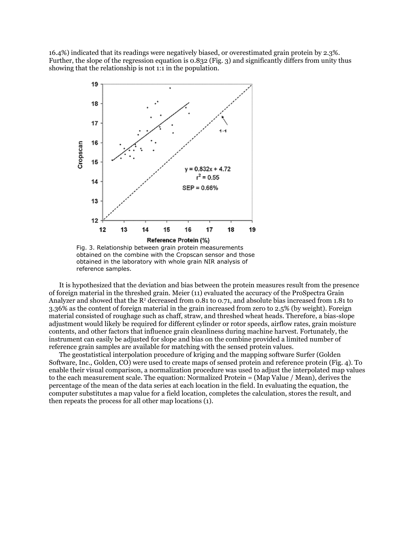16.4%) indicated that its readings were negatively biased, or overestimated grain protein by 2.3%. Further, the slope of the regression equation is 0.832 (Fig. 3) and significantly differs from unity thus showing that the relationship is not 1:1 in the population.



Fig. 3. Relationship between grain protein measurements obtained on the combine with the Cropscan sensor and those obtained in the laboratory with whole grain NIR analysis of reference samples.

It is hypothesized that the deviation and bias between the protein measures result from the presence of foreign material in the threshed grain. Meier (11) evaluated the accuracy of the ProSpectra Grain Analyzer and showed that the  $R^2$  decreased from 0.81 to 0.71, and absolute bias increased from 1.81 to 3.36% as the content of foreign material in the grain increased from zero to 2.5% (by weight). Foreign material consisted of roughage such as chaff, straw, and threshed wheat heads. Therefore, a bias-slope adjustment would likely be required for different cylinder or rotor speeds, airflow rates, grain moisture contents, and other factors that influence grain cleanliness during machine harvest. Fortunately, the instrument can easily be adjusted for slope and bias on the combine provided a limited number of reference grain samples are available for matching with the sensed protein values.

The geostatistical interpolation procedure of kriging and the mapping software Surfer (Golden Software, Inc., Golden, CO) were used to create maps of sensed protein and reference protein (Fig. 4). To enable their visual comparison, a normalization procedure was used to adjust the interpolated map values to the each measurement scale. The equation: Normalized Protein = (Map Value / Mean), derives the percentage of the mean of the data series at each location in the field. In evaluating the equation, the computer substitutes a map value for a field location, completes the calculation, stores the result, and then repeats the process for all other map locations (1).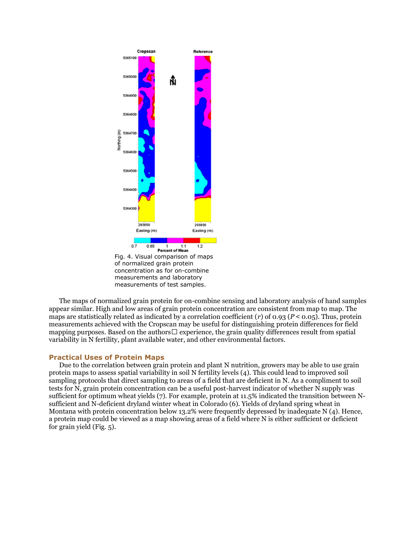

The maps of normalized grain protein for on-combine sensing and laboratory analysis of hand samples appear similar. High and low areas of grain protein concentration are consistent from map to map. The maps are statistically related as indicated by a correlation coefficient (*r*) of 0.93 (*P* < 0.05). Thus, protein measurements achieved with the Cropscan may be useful for distinguishing protein differences for field mapping purposes. Based on the authors' experience, the grain quality differences result from spatial variability in N fertility, plant available water, and other environmental factors.

#### **Practical Uses of Protein Maps**

Due to the correlation between grain protein and plant N nutrition, growers may be able to use grain protein maps to assess spatial variability in soil N fertility levels (4). This could lead to improved soil sampling protocols that direct sampling to areas of a field that are deficient in N. As a compliment to soil tests for N, grain protein concentration can be a useful post-harvest indicator of whether N supply was sufficient for optimum wheat yields (7). For example, protein at 11.5% indicated the transition between Nsufficient and N-deficient dryland winter wheat in Colorado (6). Yields of dryland spring wheat in Montana with protein concentration below 13.2% were frequently depressed by inadequate N (4). Hence, a protein map could be viewed as a map showing areas of a field where N is either sufficient or deficient for grain yield (Fig. 5).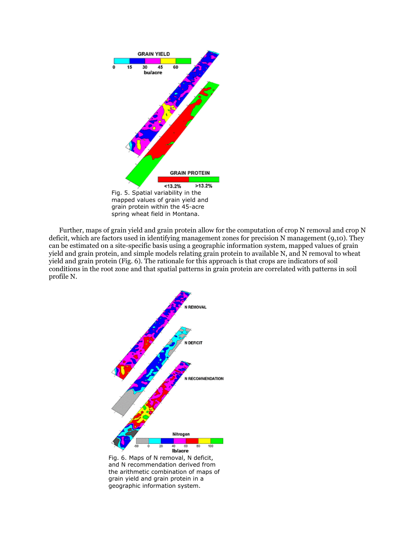

Further, maps of grain yield and grain protein allow for the computation of crop N removal and crop N deficit, which are factors used in identifying management zones for precision N management (9,10). They can be estimated on a site-specific basis using a geographic information system, mapped values of grain yield and grain protein, and simple models relating grain protein to available N, and N removal to wheat yield and grain protein (Fig. 6). The rationale for this approach is that crops are indicators of soil conditions in the root zone and that spatial patterns in grain protein are correlated with patterns in soil profile N.



Fig. 6. Maps of N removal, N deficit, and N recommendation derived from the arithmetic combination of maps of grain yield and grain protein in a geographic information system.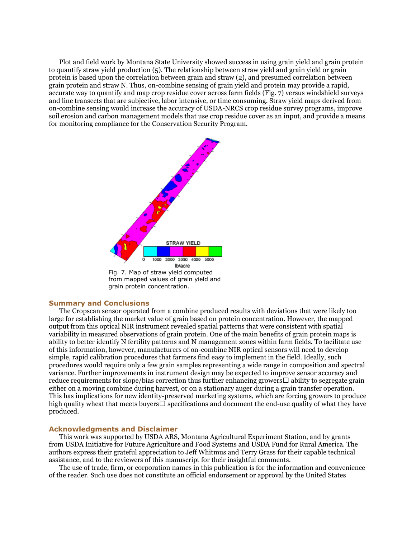Plot and field work by Montana State University showed success in using grain yield and grain protein to quantify straw yield production (5). The relationship between straw yield and grain yield or grain protein is based upon the correlation between grain and straw (2), and presumed correlation between grain protein and straw N. Thus, on-combine sensing of grain yield and protein may provide a rapid, accurate way to quantify and map crop residue cover across farm fields (Fig. 7) versus windshield surveys and line transects that are subjective, labor intensive, or time consuming. Straw yield maps derived from on-combine sensing would increase the accuracy of USDA-NRCS crop residue survey programs, improve soil erosion and carbon management models that use crop residue cover as an input, and provide a means for monitoring compliance for the Conservation Security Program.



#### **Summary and Conclusions**

The Cropscan sensor operated from a combine produced results with deviations that were likely too large for establishing the market value of grain based on protein concentration. However, the mapped output from this optical NIR instrument revealed spatial patterns that were consistent with spatial variability in measured observations of grain protein. One of the main benefits of grain protein maps is ability to better identify N fertility patterns and N management zones within farm fields. To facilitate use of this information, however, manufacturers of on-combine NIR optical sensors will need to develop simple, rapid calibration procedures that farmers find easy to implement in the field. Ideally, such procedures would require only a few grain samples representing a wide range in composition and spectral variance. Further improvements in instrument design may be expected to improve sensor accuracy and reduce requirements for slope/bias correction thus further enhancing growers' ability to segregate grain either on a moving combine during harvest, or on a stationary auger during a grain transfer operation. This has implications for new identity-preserved marketing systems, which are forcing growers to produce high quality wheat that meets buyers' specifications and document the end-use quality of what they have produced.

#### **Acknowledgments and Disclaimer**

This work was supported by USDA ARS, Montana Agricultural Experiment Station, and by grants from USDA Initiative for Future Agriculture and Food Systems and USDA Fund for Rural America. The authors express their grateful appreciation to Jeff Whitmus and Terry Grass for their capable technical assistance, and to the reviewers of this manuscript for their insightful comments.

The use of trade, firm, or corporation names in this publication is for the information and convenience of the reader. Such use does not constitute an official endorsement or approval by the United States